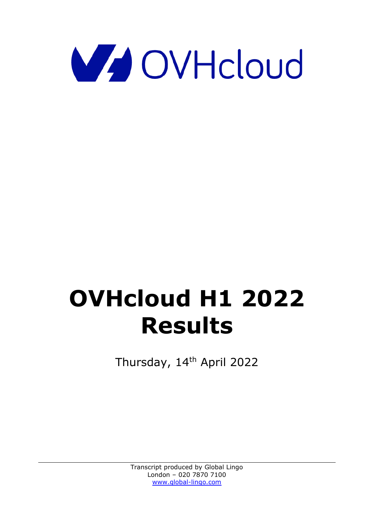

# **OVHcloud H1 2022 Results**

Thursday, 14<sup>th</sup> April 2022

Transcript produced by Global Lingo London – 020 7870 7100 [www.global-lingo.com](http://www.global-lingo.com/)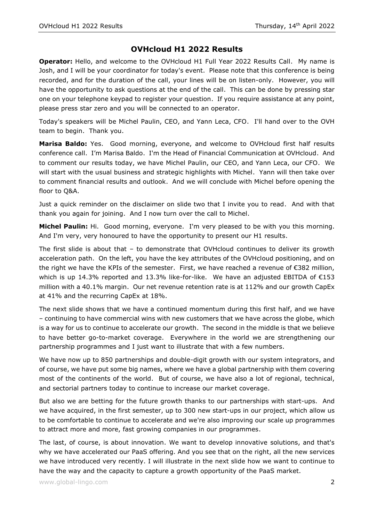## **OVHcloud H1 2022 Results**

**Operator:** Hello, and welcome to the OVHcloud H1 Full Year 2022 Results Call. My name is Josh, and I will be your coordinator for today's event. Please note that this conference is being recorded, and for the duration of the call, your lines will be on listen-only. However, you will have the opportunity to ask questions at the end of the call. This can be done by pressing star one on your telephone keypad to register your question. If you require assistance at any point, please press star zero and you will be connected to an operator.

Today's speakers will be Michel Paulin, CEO, and Yann Leca, CFO. I'll hand over to the OVH team to begin. Thank you.

**Marisa Baldo:** Yes. Good morning, everyone, and welcome to OVHcloud first half results conference call. I'm Marisa Baldo. I'm the Head of Financial Communication at OVHcloud. And to comment our results today, we have Michel Paulin, our CEO, and Yann Leca, our CFO. We will start with the usual business and strategic highlights with Michel. Yann will then take over to comment financial results and outlook. And we will conclude with Michel before opening the floor to Q&A.

Just a quick reminder on the disclaimer on slide two that I invite you to read. And with that thank you again for joining. And I now turn over the call to Michel.

**Michel Paulin:** Hi. Good morning, everyone. I'm very pleased to be with you this morning. And I'm very, very honoured to have the opportunity to present our H1 results.

The first slide is about that  $-$  to demonstrate that OVHcloud continues to deliver its growth acceleration path. On the left, you have the key attributes of the OVHcloud positioning, and on the right we have the KPIs of the semester. First, we have reached a revenue of €382 million, which is up 14.3% reported and 13.3% like-for-like. We have an adjusted EBITDA of €153 million with a 40.1% margin. Our net revenue retention rate is at 112% and our growth CapEx at 41% and the recurring CapEx at 18%.

The next slide shows that we have a continued momentum during this first half, and we have – continuing to have commercial wins with new customers that we have across the globe, which is a way for us to continue to accelerate our growth. The second in the middle is that we believe to have better go-to-market coverage. Everywhere in the world we are strengthening our partnership programmes and I just want to illustrate that with a few numbers.

We have now up to 850 partnerships and double-digit growth with our system integrators, and of course, we have put some big names, where we have a global partnership with them covering most of the continents of the world. But of course, we have also a lot of regional, technical, and sectorial partners today to continue to increase our market coverage.

But also we are betting for the future growth thanks to our partnerships with start-ups. And we have acquired, in the first semester, up to 300 new start-ups in our project, which allow us to be comfortable to continue to accelerate and we're also improving our scale up programmes to attract more and more, fast growing companies in our programmes.

The last, of course, is about innovation. We want to develop innovative solutions, and that's why we have accelerated our PaaS offering. And you see that on the right, all the new services we have introduced very recently. I will illustrate in the next slide how we want to continue to have the way and the capacity to capture a growth opportunity of the PaaS market.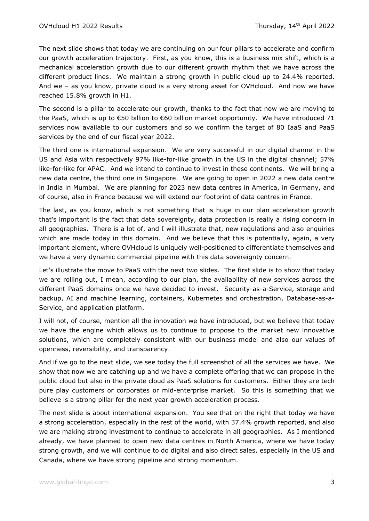The next slide shows that today we are continuing on our four pillars to accelerate and confirm our growth acceleration trajectory. First, as you know, this is a business mix shift, which is a mechanical acceleration growth due to our different growth rhythm that we have across the different product lines. We maintain a strong growth in public cloud up to 24.4% reported. And we – as you know, private cloud is a very strong asset for OVHcloud. And now we have reached 15.8% growth in H1.

The second is a pillar to accelerate our growth, thanks to the fact that now we are moving to the PaaS, which is up to €50 billion to €60 billion market opportunity. We have introduced 71 services now available to our customers and so we confirm the target of 80 IaaS and PaaS services by the end of our fiscal year 2022.

The third one is international expansion. We are very successful in our digital channel in the US and Asia with respectively 97% like-for-like growth in the US in the digital channel; 57% like-for-like for APAC. And we intend to continue to invest in these continents. We will bring a new data centre, the third one in Singapore. We are going to open in 2022 a new data centre in India in Mumbai. We are planning for 2023 new data centres in America, in Germany, and of course, also in France because we will extend our footprint of data centres in France.

The last, as you know, which is not something that is huge in our plan acceleration growth that's important is the fact that data sovereignty, data protection is really a rising concern in all geographies. There is a lot of, and I will illustrate that, new regulations and also enquiries which are made today in this domain. And we believe that this is potentially, again, a very important element, where OVHcloud is uniquely well-positioned to differentiate themselves and we have a very dynamic commercial pipeline with this data sovereignty concern.

Let's illustrate the move to PaaS with the next two slides. The first slide is to show that today we are rolling out, I mean, according to our plan, the availability of new services across the different PaaS domains once we have decided to invest. Security-as-a-Service, storage and backup, AI and machine learning, containers, Kubernetes and orchestration, Database-as-a-Service, and application platform.

I will not, of course, mention all the innovation we have introduced, but we believe that today we have the engine which allows us to continue to propose to the market new innovative solutions, which are completely consistent with our business model and also our values of openness, reversibility, and transparency.

And if we go to the next slide, we see today the full screenshot of all the services we have. We show that now we are catching up and we have a complete offering that we can propose in the public cloud but also in the private cloud as PaaS solutions for customers. Either they are tech pure play customers or corporates or mid-enterprise market. So this is something that we believe is a strong pillar for the next year growth acceleration process.

The next slide is about international expansion. You see that on the right that today we have a strong acceleration, especially in the rest of the world, with 37.4% growth reported, and also we are making strong investment to continue to accelerate in all geographies. As I mentioned already, we have planned to open new data centres in North America, where we have today strong growth, and we will continue to do digital and also direct sales, especially in the US and Canada, where we have strong pipeline and strong momentum.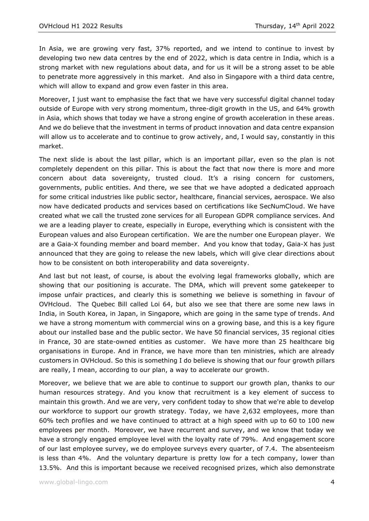In Asia, we are growing very fast, 37% reported, and we intend to continue to invest by developing two new data centres by the end of 2022, which is data centre in India, which is a strong market with new regulations about data, and for us it will be a strong asset to be able to penetrate more aggressively in this market. And also in Singapore with a third data centre, which will allow to expand and grow even faster in this area.

Moreover, I just want to emphasise the fact that we have very successful digital channel today outside of Europe with very strong momentum, three-digit growth in the US, and 64% growth in Asia, which shows that today we have a strong engine of growth acceleration in these areas. And we do believe that the investment in terms of product innovation and data centre expansion will allow us to accelerate and to continue to grow actively, and, I would say, constantly in this market.

The next slide is about the last pillar, which is an important pillar, even so the plan is not completely dependent on this pillar. This is about the fact that now there is more and more concern about data sovereignty, trusted cloud. It's a rising concern for customers, governments, public entities. And there, we see that we have adopted a dedicated approach for some critical industries like public sector, healthcare, financial services, aerospace. We also now have dedicated products and services based on certifications like SecNumCloud. We have created what we call the trusted zone services for all European GDPR compliance services. And we are a leading player to create, especially in Europe, everything which is consistent with the European values and also European certification. We are the number one European player. We are a Gaia-X founding member and board member. And you know that today, Gaia-X has just announced that they are going to release the new labels, which will give clear directions about how to be consistent on both interoperability and data sovereignty.

And last but not least, of course, is about the evolving legal frameworks globally, which are showing that our positioning is accurate. The DMA, which will prevent some gatekeeper to impose unfair practices, and clearly this is something we believe is something in favour of OVHcloud. The Quebec Bill called Loi 64, but also we see that there are some new laws in India, in South Korea, in Japan, in Singapore, which are going in the same type of trends. And we have a strong momentum with commercial wins on a growing base, and this is a key figure about our installed base and the public sector. We have 50 financial services, 35 regional cities in France, 30 are state-owned entities as customer. We have more than 25 healthcare big organisations in Europe. And in France, we have more than ten ministries, which are already customers in OVHcloud. So this is something I do believe is showing that our four growth pillars are really, I mean, according to our plan, a way to accelerate our growth.

Moreover, we believe that we are able to continue to support our growth plan, thanks to our human resources strategy. And you know that recruitment is a key element of success to maintain this growth. And we are very, very confident today to show that we're able to develop our workforce to support our growth strategy. Today, we have 2,632 employees, more than 60% tech profiles and we have continued to attract at a high speed with up to 60 to 100 new employees per month. Moreover, we have recurrent and survey, and we know that today we have a strongly engaged employee level with the loyalty rate of 79%. And engagement score of our last employee survey, we do employee surveys every quarter, of 7.4. The absenteeism is less than 4%. And the voluntary departure is pretty low for a tech company, lower than 13.5%. And this is important because we received recognised prizes, which also demonstrate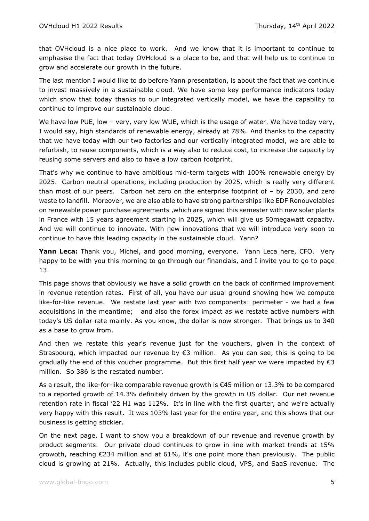that OVHcloud is a nice place to work. And we know that it is important to continue to emphasise the fact that today OVHcloud is a place to be, and that will help us to continue to grow and accelerate our growth in the future.

The last mention I would like to do before Yann presentation, is about the fact that we continue to invest massively in a sustainable cloud. We have some key performance indicators today which show that today thanks to our integrated vertically model, we have the capability to continue to improve our sustainable cloud.

We have low PUE, low - very, very low WUE, which is the usage of water. We have today very, I would say, high standards of renewable energy, already at 78%. And thanks to the capacity that we have today with our two factories and our vertically integrated model, we are able to refurbish, to reuse components, which is a way also to reduce cost, to increase the capacity by reusing some servers and also to have a low carbon footprint.

That's why we continue to have ambitious mid-term targets with 100% renewable energy by 2025. Carbon neutral operations, including production by 2025, which is really very different than most of our peers. Carbon net zero on the enterprise footprint of – by 2030, and zero waste to landfill. Moreover, we are also able to have strong partnerships like EDF Renouvelables on renewable power purchase agreements ,which are signed this semester with new solar plants in France with 15 years agreement starting in 2025, which will give us 50megawatt capacity. And we will continue to innovate. With new innovations that we will introduce very soon to continue to have this leading capacity in the sustainable cloud. Yann?

**Yann Leca:** Thank you, Michel, and good morning, everyone. Yann Leca here, CFO. Very happy to be with you this morning to go through our financials, and I invite you to go to page 13.

This page shows that obviously we have a solid growth on the back of confirmed improvement in revenue retention rates. First of all, you have our usual ground showing how we compute like-for-like revenue. We restate last year with two components: perimeter - we had a few acquisitions in the meantime; and also the forex impact as we restate active numbers with today's US dollar rate mainly. As you know, the dollar is now stronger. That brings us to 340 as a base to grow from.

And then we restate this year's revenue just for the vouchers, given in the context of Strasbourg, which impacted our revenue by €3 million. As you can see, this is going to be gradually the end of this voucher programme. But this first half year we were impacted by  $\epsilon$ 3 million. So 386 is the restated number.

As a result, the like-for-like comparable revenue growth is €45 million or 13.3% to be compared to a reported growth of 14.3% definitely driven by the growth in US dollar. Our net revenue retention rate in fiscal '22 H1 was 112%. It's in line with the first quarter, and we're actually very happy with this result. It was 103% last year for the entire year, and this shows that our business is getting stickier.

On the next page, I want to show you a breakdown of our revenue and revenue growth by product segments. Our private cloud continues to grow in line with market trends at 15% growoth, reaching €234 million and at 61%, it's one point more than previously. The public cloud is growing at 21%. Actually, this includes public cloud, VPS, and SaaS revenue. The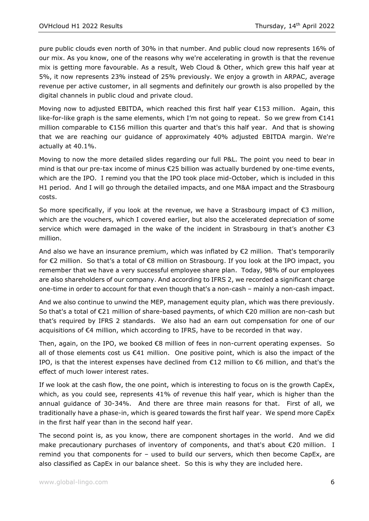pure public clouds even north of 30% in that number. And public cloud now represents 16% of our mix. As you know, one of the reasons why we're accelerating in growth is that the revenue mix is getting more favourable. As a result, Web Cloud & Other, which grew this half year at 5%, it now represents 23% instead of 25% previously. We enjoy a growth in ARPAC, average revenue per active customer, in all segments and definitely our growth is also propelled by the digital channels in public cloud and private cloud.

Moving now to adjusted EBITDA, which reached this first half year €153 million. Again, this like-for-like graph is the same elements, which I'm not going to repeat. So we grew from €141 million comparable to €156 million this quarter and that's this half year. And that is showing that we are reaching our guidance of approximately 40% adjusted EBITDA margin. We're actually at 40.1%.

Moving to now the more detailed slides regarding our full P&L. The point you need to bear in mind is that our pre-tax income of minus €25 billion was actually burdened by one-time events, which are the IPO. I remind you that the IPO took place mid-October, which is included in this H1 period. And I will go through the detailed impacts, and one M&A impact and the Strasbourg costs.

So more specifically, if you look at the revenue, we have a Strasbourg impact of  $\epsilon$ 3 million, which are the vouchers, which I covered earlier, but also the accelerated depreciation of some service which were damaged in the wake of the incident in Strasbourg in that's another  $\epsilon$ 3 million.

And also we have an insurance premium, which was inflated by €2 million. That's temporarily for €2 million. So that's a total of €8 million on Strasbourg. If you look at the IPO impact, you remember that we have a very successful employee share plan. Today, 98% of our employees are also shareholders of our company. And according to IFRS 2, we recorded a significant charge one-time in order to account for that even though that's a non-cash – mainly a non-cash impact.

And we also continue to unwind the MEP, management equity plan, which was there previously. So that's a total of €21 million of share-based payments, of which €20 million are non-cash but that's required by IFRS 2 standards. We also had an earn out compensation for one of our acquisitions of €4 million, which according to IFRS, have to be recorded in that way.

Then, again, on the IPO, we booked €8 million of fees in non-current operating expenses. So all of those elements cost us €41 million. One positive point, which is also the impact of the IPO, is that the interest expenses have declined from  $E12$  million to  $E6$  million, and that's the effect of much lower interest rates.

If we look at the cash flow, the one point, which is interesting to focus on is the growth CapEx, which, as you could see, represents 41% of revenue this half year, which is higher than the annual guidance of 30-34%. And there are three main reasons for that. First of all, we traditionally have a phase-in, which is geared towards the first half year. We spend more CapEx in the first half year than in the second half year.

The second point is, as you know, there are component shortages in the world. And we did make precautionary purchases of inventory of components, and that's about €20 million. I remind you that components for – used to build our servers, which then become CapEx, are also classified as CapEx in our balance sheet. So this is why they are included here.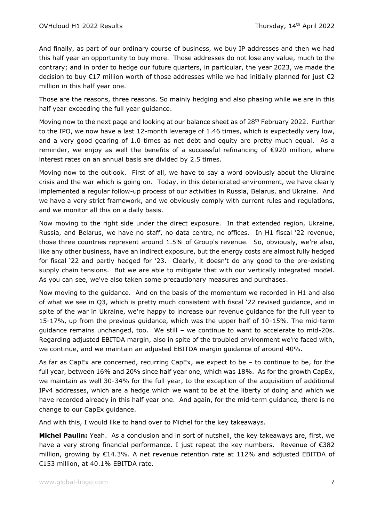And finally, as part of our ordinary course of business, we buy IP addresses and then we had this half year an opportunity to buy more. Those addresses do not lose any value, much to the contrary; and in order to hedge our future quarters, in particular, the year 2023, we made the decision to buy  $\epsilon$ 17 million worth of those addresses while we had initially planned for just  $\epsilon$ 2 million in this half year one.

Those are the reasons, three reasons. So mainly hedging and also phasing while we are in this half year exceeding the full year guidance.

Moving now to the next page and looking at our balance sheet as of  $28<sup>th</sup>$  February 2022. Further to the IPO, we now have a last 12-month leverage of 1.46 times, which is expectedly very low, and a very good gearing of 1.0 times as net debt and equity are pretty much equal. As a reminder, we enjoy as well the benefits of a successful refinancing of €920 million, where interest rates on an annual basis are divided by 2.5 times.

Moving now to the outlook. First of all, we have to say a word obviously about the Ukraine crisis and the war which is going on. Today, in this deteriorated environment, we have clearly implemented a regular follow-up process of our activities in Russia, Belarus, and Ukraine. And we have a very strict framework, and we obviously comply with current rules and regulations, and we monitor all this on a daily basis.

Now moving to the right side under the direct exposure. In that extended region, Ukraine, Russia, and Belarus, we have no staff, no data centre, no offices. In H1 fiscal '22 revenue, those three countries represent around 1.5% of Group's revenue. So, obviously, we're also, like any other business, have an indirect exposure, but the energy costs are almost fully hedged for fiscal '22 and partly hedged for '23. Clearly, it doesn't do any good to the pre-existing supply chain tensions. But we are able to mitigate that with our vertically integrated model. As you can see, we've also taken some precautionary measures and purchases.

Now moving to the guidance. And on the basis of the momentum we recorded in H1 and also of what we see in Q3, which is pretty much consistent with fiscal '22 revised guidance, and in spite of the war in Ukraine, we're happy to increase our revenue guidance for the full year to 15-17%, up from the previous guidance, which was the upper half of 10-15%. The mid-term guidance remains unchanged, too. We still – we continue to want to accelerate to mid-20s. Regarding adjusted EBITDA margin, also in spite of the troubled environment we're faced with, we continue, and we maintain an adjusted EBITDA margin guidance of around 40%.

As far as CapEx are concerned, recurring CapEx, we expect to be – to continue to be, for the full year, between 16% and 20% since half year one, which was 18%. As for the growth CapEx, we maintain as well 30-34% for the full year, to the exception of the acquisition of additional IPv4 addresses, which are a hedge which we want to be at the liberty of doing and which we have recorded already in this half year one. And again, for the mid-term guidance, there is no change to our CapEx guidance.

And with this, I would like to hand over to Michel for the key takeaways.

**Michel Paulin:** Yeah. As a conclusion and in sort of nutshell, the key takeaways are, first, we have a very strong financial performance. I just repeat the key numbers. Revenue of  $\epsilon$ 382 million, growing by  $\epsilon$ 14.3%. A net revenue retention rate at 112% and adjusted EBITDA of €153 million, at 40.1% EBITDA rate.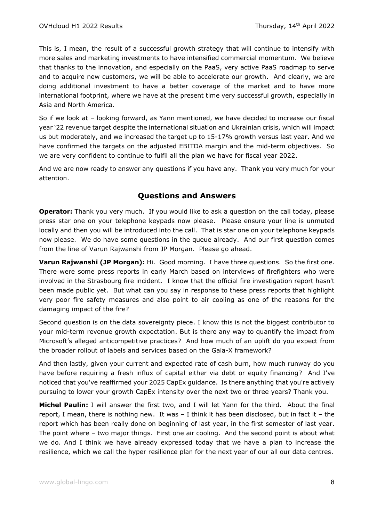This is, I mean, the result of a successful growth strategy that will continue to intensify with more sales and marketing investments to have intensified commercial momentum. We believe that thanks to the innovation, and especially on the PaaS, very active PaaS roadmap to serve and to acquire new customers, we will be able to accelerate our growth. And clearly, we are doing additional investment to have a better coverage of the market and to have more international footprint, where we have at the present time very successful growth, especially in Asia and North America.

So if we look at – looking forward, as Yann mentioned, we have decided to increase our fiscal year '22 revenue target despite the international situation and Ukrainian crisis, which will impact us but moderately, and we increased the target up to 15-17% growth versus last year. And we have confirmed the targets on the adjusted EBITDA margin and the mid-term objectives. So we are very confident to continue to fulfil all the plan we have for fiscal year 2022.

And we are now ready to answer any questions if you have any. Thank you very much for your attention.

### **Questions and Answers**

**Operator:** Thank you very much. If you would like to ask a question on the call today, please press star one on your telephone keypads now please. Please ensure your line is unmuted locally and then you will be introduced into the call. That is star one on your telephone keypads now please. We do have some questions in the queue already. And our first question comes from the line of Varun Rajwanshi from JP Morgan. Please go ahead.

**Varun Rajwanshi (JP Morgan):** Hi. Good morning. I have three questions. So the first one. There were some press reports in early March based on interviews of firefighters who were involved in the Strasbourg fire incident. I know that the official fire investigation report hasn't been made public yet. But what can you say in response to these press reports that highlight very poor fire safety measures and also point to air cooling as one of the reasons for the damaging impact of the fire?

Second question is on the data sovereignty piece. I know this is not the biggest contributor to your mid-term revenue growth expectation. But is there any way to quantify the impact from Microsoft's alleged anticompetitive practices? And how much of an uplift do you expect from the broader rollout of labels and services based on the Gaia-X framework?

And then lastly, given your current and expected rate of cash burn, how much runway do you have before requiring a fresh influx of capital either via debt or equity financing? And I've noticed that you've reaffirmed your 2025 CapEx guidance. Is there anything that you're actively pursuing to lower your growth CapEx intensity over the next two or three years? Thank you.

**Michel Paulin:** I will answer the first two, and I will let Yann for the third. About the final report, I mean, there is nothing new. It was – I think it has been disclosed, but in fact it – the report which has been really done on beginning of last year, in the first semester of last year. The point where – two major things. First one air cooling. And the second point is about what we do. And I think we have already expressed today that we have a plan to increase the resilience, which we call the hyper resilience plan for the next year of our all our data centres.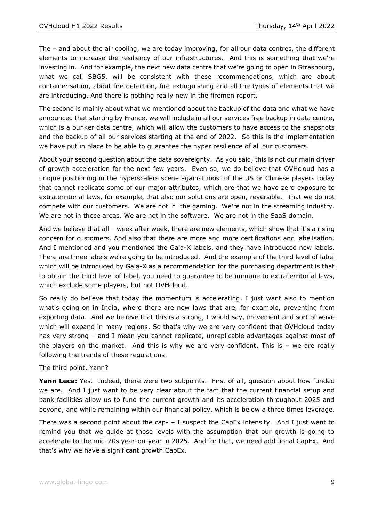The – and about the air cooling, we are today improving, for all our data centres, the different elements to increase the resiliency of our infrastructures. And this is something that we're investing in. And for example, the next new data centre that we're going to open in Strasbourg, what we call SBG5, will be consistent with these recommendations, which are about containerisation, about fire detection, fire extinguishing and all the types of elements that we are introducing. And there is nothing really new in the firemen report.

The second is mainly about what we mentioned about the backup of the data and what we have announced that starting by France, we will include in all our services free backup in data centre, which is a bunker data centre, which will allow the customers to have access to the snapshots and the backup of all our services starting at the end of 2022. So this is the implementation we have put in place to be able to guarantee the hyper resilience of all our customers.

About your second question about the data sovereignty. As you said, this is not our main driver of growth acceleration for the next few years. Even so, we do believe that OVHcloud has a unique positioning in the hyperscalers scene against most of the US or Chinese players today that cannot replicate some of our major attributes, which are that we have zero exposure to extraterritorial laws, for example, that also our solutions are open, reversible. That we do not compete with our customers. We are not in the gaming. We're not in the streaming industry. We are not in these areas. We are not in the software. We are not in the SaaS domain.

And we believe that all – week after week, there are new elements, which show that it's a rising concern for customers. And also that there are more and more certifications and labelisation. And I mentioned and you mentioned the Gaia-X labels, and they have introduced new labels. There are three labels we're going to be introduced. And the example of the third level of label which will be introduced by Gaia-X as a recommendation for the purchasing department is that to obtain the third level of label, you need to guarantee to be immune to extraterritorial laws, which exclude some players, but not OVHcloud.

So really do believe that today the momentum is accelerating. I just want also to mention what's going on in India, where there are new laws that are, for example, preventing from exporting data. And we believe that this is a strong, I would say, movement and sort of wave which will expand in many regions. So that's why we are very confident that OVHcloud today has very strong – and I mean you cannot replicate, unreplicable advantages against most of the players on the market. And this is why we are very confident. This is  $-$  we are really following the trends of these regulations.

#### The third point, Yann?

**Yann Leca:** Yes. Indeed, there were two subpoints. First of all, question about how funded we are. And I just want to be very clear about the fact that the current financial setup and bank facilities allow us to fund the current growth and its acceleration throughout 2025 and beyond, and while remaining within our financial policy, which is below a three times leverage.

There was a second point about the cap-  $-$  I suspect the CapEx intensity. And I just want to remind you that we guide at those levels with the assumption that our growth is going to accelerate to the mid-20s year-on-year in 2025. And for that, we need additional CapEx. And that's why we have a significant growth CapEx.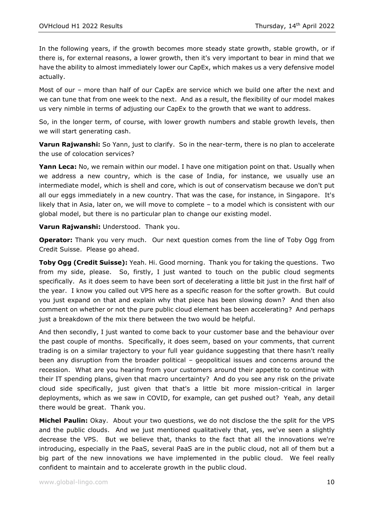In the following years, if the growth becomes more steady state growth, stable growth, or if there is, for external reasons, a lower growth, then it's very important to bear in mind that we have the ability to almost immediately lower our CapEx, which makes us a very defensive model actually.

Most of our – more than half of our CapEx are service which we build one after the next and we can tune that from one week to the next. And as a result, the flexibility of our model makes us very nimble in terms of adjusting our CapEx to the growth that we want to address.

So, in the longer term, of course, with lower growth numbers and stable growth levels, then we will start generating cash.

**Varun Rajwanshi:** So Yann, just to clarify. So in the near-term, there is no plan to accelerate the use of colocation services?

**Yann Leca:** No, we remain within our model. I have one mitigation point on that. Usually when we address a new country, which is the case of India, for instance, we usually use an intermediate model, which is shell and core, which is out of conservatism because we don't put all our eggs immediately in a new country. That was the case, for instance, in Singapore. It's likely that in Asia, later on, we will move to complete – to a model which is consistent with our global model, but there is no particular plan to change our existing model.

**Varun Rajwanshi:** Understood. Thank you.

**Operator:** Thank you very much. Our next question comes from the line of Toby Ogg from Credit Suisse. Please go ahead.

**Toby Ogg (Credit Suisse):** Yeah. Hi. Good morning. Thank you for taking the questions. Two from my side, please. So, firstly, I just wanted to touch on the public cloud segments specifically. As it does seem to have been sort of decelerating a little bit just in the first half of the year. I know you called out VPS here as a specific reason for the softer growth. But could you just expand on that and explain why that piece has been slowing down? And then also comment on whether or not the pure public cloud element has been accelerating? And perhaps just a breakdown of the mix there between the two would be helpful.

And then secondly, I just wanted to come back to your customer base and the behaviour over the past couple of months. Specifically, it does seem, based on your comments, that current trading is on a similar trajectory to your full year guidance suggesting that there hasn't really been any disruption from the broader political – geopolitical issues and concerns around the recession. What are you hearing from your customers around their appetite to continue with their IT spending plans, given that macro uncertainty? And do you see any risk on the private cloud side specifically, just given that that's a little bit more mission-critical in larger deployments, which as we saw in COVID, for example, can get pushed out? Yeah, any detail there would be great. Thank you.

**Michel Paulin:** Okay. About your two questions, we do not disclose the the split for the VPS and the public clouds. And we just mentioned qualitatively that, yes, we've seen a slightly decrease the VPS. But we believe that, thanks to the fact that all the innovations we're introducing, especially in the PaaS, several PaaS are in the public cloud, not all of them but a big part of the new innovations we have implemented in the public cloud. We feel really confident to maintain and to accelerate growth in the public cloud.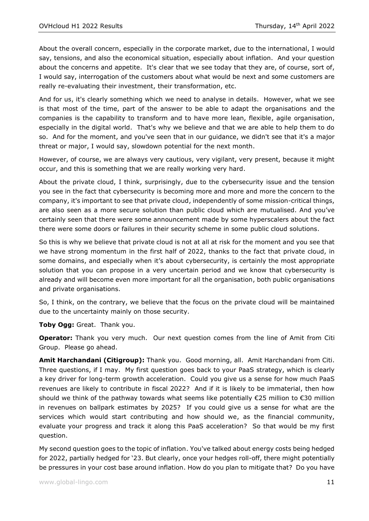About the overall concern, especially in the corporate market, due to the international, I would say, tensions, and also the economical situation, especially about inflation. And your question about the concerns and appetite. It's clear that we see today that they are, of course, sort of, I would say, interrogation of the customers about what would be next and some customers are really re-evaluating their investment, their transformation, etc.

And for us, it's clearly something which we need to analyse in details. However, what we see is that most of the time, part of the answer to be able to adapt the organisations and the companies is the capability to transform and to have more lean, flexible, agile organisation, especially in the digital world. That's why we believe and that we are able to help them to do so. And for the moment, and you've seen that in our guidance, we didn't see that it's a major threat or major, I would say, slowdown potential for the next month.

However, of course, we are always very cautious, very vigilant, very present, because it might occur, and this is something that we are really working very hard.

About the private cloud, I think, surprisingly, due to the cybersecurity issue and the tension you see in the fact that cybersecurity is becoming more and more and more the concern to the company, it's important to see that private cloud, independently of some mission-critical things, are also seen as a more secure solution than public cloud which are mutualised. And you've certainly seen that there were some announcement made by some hyperscalers about the fact there were some doors or failures in their security scheme in some public cloud solutions.

So this is why we believe that private cloud is not at all at risk for the moment and you see that we have strong momentum in the first half of 2022, thanks to the fact that private cloud, in some domains, and especially when it's about cybersecurity, is certainly the most appropriate solution that you can propose in a very uncertain period and we know that cybersecurity is already and will become even more important for all the organisation, both public organisations and private organisations.

So, I think, on the contrary, we believe that the focus on the private cloud will be maintained due to the uncertainty mainly on those security.

**Toby Ogg:** Great. Thank you.

**Operator:** Thank you very much. Our next question comes from the line of Amit from Citi Group. Please go ahead.

**Amit Harchandani (Citigroup):** Thank you. Good morning, all. Amit Harchandani from Citi. Three questions, if I may. My first question goes back to your PaaS strategy, which is clearly a key driver for long-term growth acceleration. Could you give us a sense for how much PaaS revenues are likely to contribute in fiscal 2022? And if it is likely to be immaterial, then how should we think of the pathway towards what seems like potentially  $\epsilon$ 25 million to  $\epsilon$ 30 million in revenues on ballpark estimates by 2025? If you could give us a sense for what are the services which would start contributing and how should we, as the financial community, evaluate your progress and track it along this PaaS acceleration? So that would be my first question.

My second question goes to the topic of inflation. You've talked about energy costs being hedged for 2022, partially hedged for '23. But clearly, once your hedges roll-off, there might potentially be pressures in your cost base around inflation. How do you plan to mitigate that? Do you have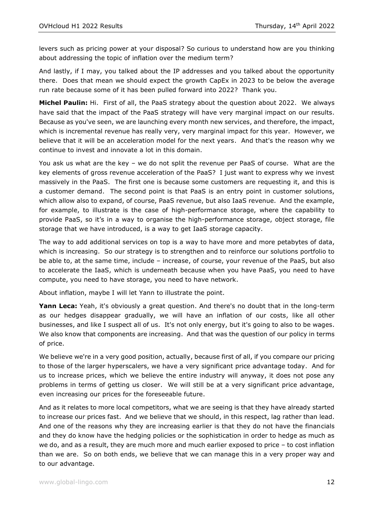levers such as pricing power at your disposal? So curious to understand how are you thinking about addressing the topic of inflation over the medium term?

And lastly, if I may, you talked about the IP addresses and you talked about the opportunity there. Does that mean we should expect the growth CapEx in 2023 to be below the average run rate because some of it has been pulled forward into 2022? Thank you.

**Michel Paulin:** Hi. First of all, the PaaS strategy about the question about 2022. We always have said that the impact of the PaaS strategy will have very marginal impact on our results. Because as you've seen, we are launching every month new services, and therefore, the impact, which is incremental revenue has really very, very marginal impact for this year. However, we believe that it will be an acceleration model for the next years. And that's the reason why we continue to invest and innovate a lot in this domain.

You ask us what are the key – we do not split the revenue per PaaS of course. What are the key elements of gross revenue acceleration of the PaaS? I just want to express why we invest massively in the PaaS. The first one is because some customers are requesting it, and this is a customer demand. The second point is that PaaS is an entry point in customer solutions, which allow also to expand, of course, PaaS revenue, but also IaaS revenue. And the example, for example, to illustrate is the case of high-performance storage, where the capability to provide PaaS, so it's in a way to organise the high-performance storage, object storage, file storage that we have introduced, is a way to get IaaS storage capacity.

The way to add additional services on top is a way to have more and more petabytes of data, which is increasing. So our strategy is to strengthen and to reinforce our solutions portfolio to be able to, at the same time, include – increase, of course, your revenue of the PaaS, but also to accelerate the IaaS, which is underneath because when you have PaaS, you need to have compute, you need to have storage, you need to have network.

About inflation, maybe I will let Yann to illustrate the point.

**Yann Leca:** Yeah, it's obviously a great question. And there's no doubt that in the long-term as our hedges disappear gradually, we will have an inflation of our costs, like all other businesses, and like I suspect all of us. It's not only energy, but it's going to also to be wages. We also know that components are increasing. And that was the question of our policy in terms of price.

We believe we're in a very good position, actually, because first of all, if you compare our pricing to those of the larger hyperscalers, we have a very significant price advantage today. And for us to increase prices, which we believe the entire industry will anyway, it does not pose any problems in terms of getting us closer. We will still be at a very significant price advantage, even increasing our prices for the foreseeable future.

And as it relates to more local competitors, what we are seeing is that they have already started to increase our prices fast. And we believe that we should, in this respect, lag rather than lead. And one of the reasons why they are increasing earlier is that they do not have the financials and they do know have the hedging policies or the sophistication in order to hedge as much as we do, and as a result, they are much more and much earlier exposed to price – to cost inflation than we are. So on both ends, we believe that we can manage this in a very proper way and to our advantage.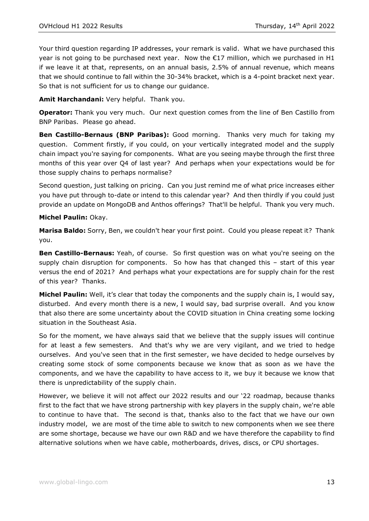Your third question regarding IP addresses, your remark is valid. What we have purchased this year is not going to be purchased next year. Now the  $E17$  million, which we purchased in H1 if we leave it at that, represents, on an annual basis, 2.5% of annual revenue, which means that we should continue to fall within the 30-34% bracket, which is a 4-point bracket next year. So that is not sufficient for us to change our guidance.

**Amit Harchandani:** Very helpful. Thank you.

**Operator:** Thank you very much. Our next question comes from the line of Ben Castillo from BNP Paribas. Please go ahead.

**Ben Castillo-Bernaus (BNP Paribas):** Good morning. Thanks very much for taking my question. Comment firstly, if you could, on your vertically integrated model and the supply chain impact you're saying for components. What are you seeing maybe through the first three months of this year over Q4 of last year? And perhaps when your expectations would be for those supply chains to perhaps normalise?

Second question, just talking on pricing. Can you just remind me of what price increases either you have put through to-date or intend to this calendar year? And then thirdly if you could just provide an update on MongoDB and Anthos offerings? That'll be helpful. Thank you very much.

#### **Michel Paulin:** Okay.

**Marisa Baldo:** Sorry, Ben, we couldn't hear your first point. Could you please repeat it? Thank you.

**Ben Castillo-Bernaus:** Yeah, of course. So first question was on what you're seeing on the supply chain disruption for components. So how has that changed this – start of this year versus the end of 2021? And perhaps what your expectations are for supply chain for the rest of this year? Thanks.

**Michel Paulin:** Well, it's clear that today the components and the supply chain is, I would say, disturbed. And every month there is a new, I would say, bad surprise overall. And you know that also there are some uncertainty about the COVID situation in China creating some locking situation in the Southeast Asia.

So for the moment, we have always said that we believe that the supply issues will continue for at least a few semesters. And that's why we are very vigilant, and we tried to hedge ourselves. And you've seen that in the first semester, we have decided to hedge ourselves by creating some stock of some components because we know that as soon as we have the components, and we have the capability to have access to it, we buy it because we know that there is unpredictability of the supply chain.

However, we believe it will not affect our 2022 results and our '22 roadmap, because thanks first to the fact that we have strong partnership with key players in the supply chain, we're able to continue to have that. The second is that, thanks also to the fact that we have our own industry model, we are most of the time able to switch to new components when we see there are some shortage, because we have our own R&D and we have therefore the capability to find alternative solutions when we have cable, motherboards, drives, discs, or CPU shortages.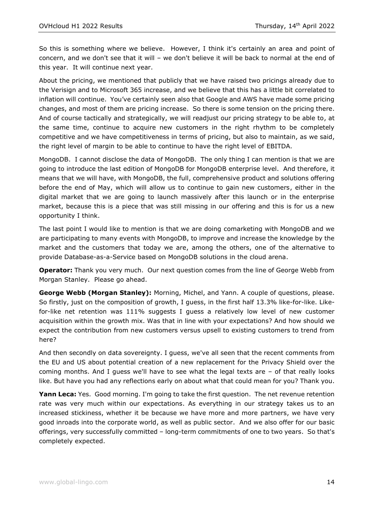So this is something where we believe. However, I think it's certainly an area and point of concern, and we don't see that it will – we don't believe it will be back to normal at the end of this year. It will continue next year.

About the pricing, we mentioned that publicly that we have raised two pricings already due to the Verisign and to Microsoft 365 increase, and we believe that this has a little bit correlated to inflation will continue. You've certainly seen also that Google and AWS have made some pricing changes, and most of them are pricing increase. So there is some tension on the pricing there. And of course tactically and strategically, we will readjust our pricing strategy to be able to, at the same time, continue to acquire new customers in the right rhythm to be completely competitive and we have competitiveness in terms of pricing, but also to maintain, as we said, the right level of margin to be able to continue to have the right level of EBITDA.

MongoDB. I cannot disclose the data of MongoDB. The only thing I can mention is that we are going to introduce the last edition of MongoDB for MongoDB enterprise level. And therefore, it means that we will have, with MongoDB, the full, comprehensive product and solutions offering before the end of May, which will allow us to continue to gain new customers, either in the digital market that we are going to launch massively after this launch or in the enterprise market, because this is a piece that was still missing in our offering and this is for us a new opportunity I think.

The last point I would like to mention is that we are doing comarketing with MongoDB and we are participating to many events with MongoDB, to improve and increase the knowledge by the market and the customers that today we are, among the others, one of the alternative to provide Database-as-a-Service based on MongoDB solutions in the cloud arena.

**Operator:** Thank you very much. Our next question comes from the line of George Webb from Morgan Stanley. Please go ahead.

**George Webb (Morgan Stanley):** Morning, Michel, and Yann. A couple of questions, please. So firstly, just on the composition of growth, I guess, in the first half 13.3% like-for-like. Likefor-like net retention was 111% suggests I guess a relatively low level of new customer acquisition within the growth mix. Was that in line with your expectations? And how should we expect the contribution from new customers versus upsell to existing customers to trend from here?

And then secondly on data sovereignty. I guess, we've all seen that the recent comments from the EU and US about potential creation of a new replacement for the Privacy Shield over the coming months. And I guess we'll have to see what the legal texts are – of that really looks like. But have you had any reflections early on about what that could mean for you? Thank you.

**Yann Leca:** Yes. Good morning. I'm going to take the first question. The net revenue retention rate was very much within our expectations. As everything in our strategy takes us to an increased stickiness, whether it be because we have more and more partners, we have very good inroads into the corporate world, as well as public sector. And we also offer for our basic offerings, very successfully committed – long-term commitments of one to two years. So that's completely expected.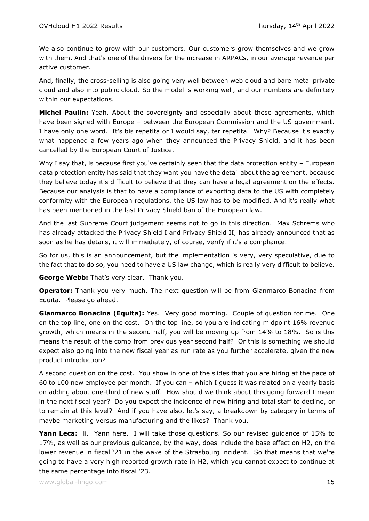We also continue to grow with our customers. Our customers grow themselves and we grow with them. And that's one of the drivers for the increase in ARPACs, in our average revenue per active customer.

And, finally, the cross-selling is also going very well between web cloud and bare metal private cloud and also into public cloud. So the model is working well, and our numbers are definitely within our expectations.

**Michel Paulin:** Yeah. About the sovereignty and especially about these agreements, which have been signed with Europe – between the European Commission and the US government. I have only one word. It's bis repetita or I would say, ter repetita. Why? Because it's exactly what happened a few years ago when they announced the Privacy Shield, and it has been cancelled by the European Court of Justice.

Why I say that, is because first you've certainly seen that the data protection entity - European data protection entity has said that they want you have the detail about the agreement, because they believe today it's difficult to believe that they can have a legal agreement on the effects. Because our analysis is that to have a compliance of exporting data to the US with completely conformity with the European regulations, the US law has to be modified. And it's really what has been mentioned in the last Privacy Shield ban of the European law.

And the last Supreme Court judgement seems not to go in this direction. Max Schrems who has already attacked the Privacy Shield I and Privacy Shield II, has already announced that as soon as he has details, it will immediately, of course, verify if it's a compliance.

So for us, this is an announcement, but the implementation is very, very speculative, due to the fact that to do so, you need to have a US law change, which is really very difficult to believe.

**George Webb:** That's very clear. Thank you.

**Operator:** Thank you very much. The next question will be from Gianmarco Bonacina from Equita. Please go ahead.

**Gianmarco Bonacina (Equita):** Yes. Very good morning. Couple of question for me. One on the top line, one on the cost. On the top line, so you are indicating midpoint 16% revenue growth, which means in the second half, you will be moving up from 14% to 18%. So is this means the result of the comp from previous year second half? Or this is something we should expect also going into the new fiscal year as run rate as you further accelerate, given the new product introduction?

A second question on the cost. You show in one of the slides that you are hiring at the pace of 60 to 100 new employee per month. If you can – which I guess it was related on a yearly basis on adding about one-third of new stuff. How should we think about this going forward I mean in the next fiscal year? Do you expect the incidence of new hiring and total staff to decline, or to remain at this level? And if you have also, let's say, a breakdown by category in terms of maybe marketing versus manufacturing and the likes? Thank you.

**Yann Leca:** Hi. Yann here. I will take those questions. So our revised guidance of 15% to 17%, as well as our previous guidance, by the way, does include the base effect on H2, on the lower revenue in fiscal '21 in the wake of the Strasbourg incident. So that means that we're going to have a very high reported growth rate in H2, which you cannot expect to continue at the same percentage into fiscal '23.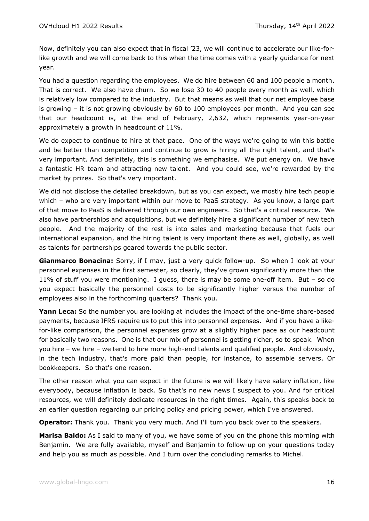Now, definitely you can also expect that in fiscal '23, we will continue to accelerate our like-forlike growth and we will come back to this when the time comes with a yearly guidance for next year.

You had a question regarding the employees. We do hire between 60 and 100 people a month. That is correct. We also have churn. So we lose 30 to 40 people every month as well, which is relatively low compared to the industry. But that means as well that our net employee base is growing – it is not growing obviously by 60 to 100 employees per month. And you can see that our headcount is, at the end of February, 2,632, which represents year-on-year approximately a growth in headcount of 11%.

We do expect to continue to hire at that pace. One of the ways we're going to win this battle and be better than competition and continue to grow is hiring all the right talent, and that's very important. And definitely, this is something we emphasise. We put energy on. We have a fantastic HR team and attracting new talent. And you could see, we're rewarded by the market by prizes. So that's very important.

We did not disclose the detailed breakdown, but as you can expect, we mostly hire tech people which – who are very important within our move to PaaS strategy. As you know, a large part of that move to PaaS is delivered through our own engineers. So that's a critical resource. We also have partnerships and acquisitions, but we definitely hire a significant number of new tech people. And the majority of the rest is into sales and marketing because that fuels our international expansion, and the hiring talent is very important there as well, globally, as well as talents for partnerships geared towards the public sector.

**Gianmarco Bonacina:** Sorry, if I may, just a very quick follow-up. So when I look at your personnel expenses in the first semester, so clearly, they've grown significantly more than the 11% of stuff you were mentioning. I guess, there is may be some one-off item. But – so do you expect basically the personnel costs to be significantly higher versus the number of employees also in the forthcoming quarters? Thank you.

**Yann Leca:** So the number you are looking at includes the impact of the one-time share-based payments, because IFRS require us to put this into personnel expenses. And if you have a likefor-like comparison, the personnel expenses grow at a slightly higher pace as our headcount for basically two reasons. One is that our mix of personnel is getting richer, so to speak. When you hire – we hire – we tend to hire more high-end talents and qualified people. And obviously, in the tech industry, that's more paid than people, for instance, to assemble servers. Or bookkeepers. So that's one reason.

The other reason what you can expect in the future is we will likely have salary inflation, like everybody, because inflation is back. So that's no new news I suspect to you. And for critical resources, we will definitely dedicate resources in the right times. Again, this speaks back to an earlier question regarding our pricing policy and pricing power, which I've answered.

**Operator:** Thank you. Thank you very much. And I'll turn you back over to the speakers.

**Marisa Baldo:** As I said to many of you, we have some of you on the phone this morning with Benjamin. We are fully available, myself and Benjamin to follow-up on your questions today and help you as much as possible. And I turn over the concluding remarks to Michel.